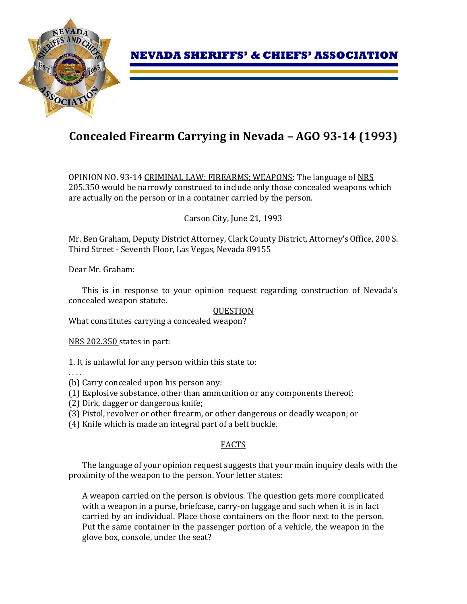

# **Concealed Firearm Carrying in Nevada – AGO 93-14 (1993)**

OPINION NO. 93-14 CRIMINAL LAW; FIREARMS; WEAPONS: The language of NRS 205.350 would be narrowly construed to include only those concealed weapons which are actually on the person or in a container carried by the person.

Carson City, June 21, 1993

Mr. Ben Graham, Deputy District Attorney, Clark County District, Attorney's Office, 200 S. Third Street - Seventh Floor, Las Vegas, Nevada 89155

Dear Mr. Graham:

This is in response to your opinion request regarding construction of Nevada's concealed weapon statute.

## **QUESTION**

What constitutes carrying a concealed weapon?

NRS 202.350 states in part:

1. It is unlawful for any person within this state to:

. . . .

(b) Carry concealed upon his person any:

- (1) Explosive substance, other than ammunition or any components thereof;
- (2) Dirk, dagger or dangerous knife;
- (3) Pistol, revolver or other firearm, or other dangerous or deadly weapon; or
- (4) Knife which is made an integral part of a belt buckle.

## FACTS

The language of your opinion request suggests that your main inquiry deals with the proximity of the weapon to the person. Your letter states:

A weapon carried on the person is obvious. The question gets more complicated with a weapon in a purse, briefcase, carry-on luggage and such when it is in fact carried by an individual. Place those containers on the floor next to the person. Put the same container in the passenger portion of a vehicle, the weapon in the glove box, console, under the seat?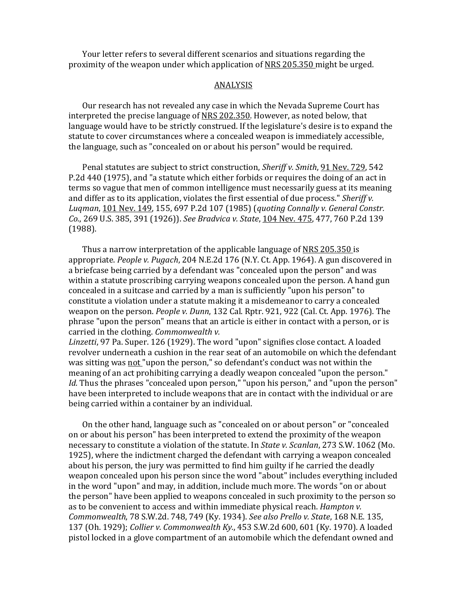Your letter refers to several different scenarios and situations regarding the proximity of the weapon under which application of NRS 205.350 might be urged.

#### ANALYSIS

Our research has not revealed any case in which the Nevada Supreme Court has interpreted the precise language of NRS 202.350. However, as noted below, that language would have to be strictly construed. If the legislature's desire is to expand the statute to cover circumstances where a concealed weapon is immediately accessible, the language, such as "concealed on or about his person" would be required.

Penal statutes are subject to strict construction, *Sheriff v. Smith*, 91 Nev. 729, 542 P.2d 440 (1975), and "a statute which either forbids or requires the doing of an act in terms so vague that men of common intelligence must necessarily guess at its meaning and differ as to its application, violates the first essential of due process." *Sheriff v. Luqman*, 101 Nev. 149, 155, 697 P.2d 107 (1985) (*quoting Connally v. General Constr. Co.*, 269 U.S. 385, 391 (1926)). *See Bradvica v. State*, 104 Nev. 475, 477, 760 P.2d 139 (1988).

Thus a narrow interpretation of the applicable language of NRS 205.350 is appropriate. *People v. Pugach*, 204 N.E.2d 176 (N.Y. Ct. App. 1964). A gun discovered in a briefcase being carried by a defendant was "concealed upon the person" and was within a statute proscribing carrying weapons concealed upon the person. A hand gun concealed in a suitcase and carried by a man is sufficiently "upon his person" to constitute a violation under a statute making it a misdemeanor to carry a concealed weapon on the person. *People v. Dunn*, 132 Cal. Rptr. 921, 922 (Cal. Ct. App. 1976). The phrase "upon the person" means that an article is either in contact with a person, or is carried in the clothing. *Commonwealth v.* 

*Linzetti*, 97 Pa. Super. 126 (1929). The word "upon" signifies close contact. A loaded revolver underneath a cushion in the rear seat of an automobile on which the defendant was sitting was not "upon the person," so defendant's conduct was not within the meaning of an act prohibiting carrying a deadly weapon concealed "upon the person." *Id.* Thus the phrases "concealed upon person," "upon his person," and "upon the person" have been interpreted to include weapons that are in contact with the individual or are being carried within a container by an individual.

On the other hand, language such as "concealed on or about person" or "concealed on or about his person" has been interpreted to extend the proximity of the weapon necessary to constitute a violation of the statute. In *State v. Scanlan*, 273 S.W. 1062 (Mo. 1925), where the indictment charged the defendant with carrying a weapon concealed about his person, the jury was permitted to find him guilty if he carried the deadly weapon concealed upon his person since the word "about" includes everything included in the word "upon" and may, in addition, include much more. The words "on or about the person" have been applied to weapons concealed in such proximity to the person so as to be convenient to access and within immediate physical reach. *Hampton v. Commonwealth*, 78 S.W.2d. 748, 749 (Ky. 1934). *See also Prello v. State*, 168 N.E. 135, 137 (Oh. 1929); *Collier v. Commonwealth Ky.*, 453 S.W.2d 600, 601 (Ky. 1970). A loaded pistol locked in a glove compartment of an automobile which the defendant owned and